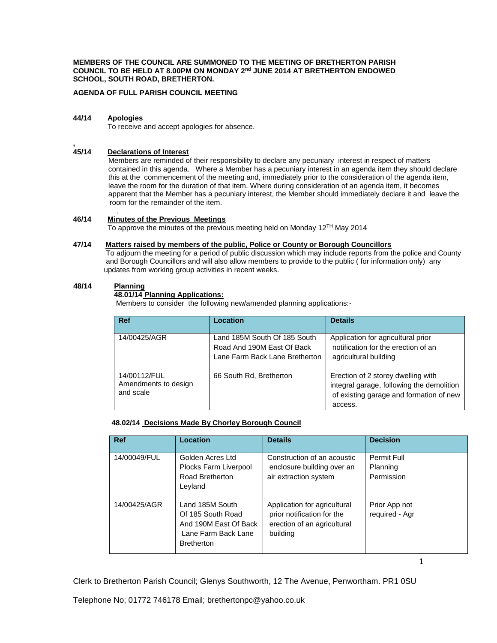**MEMBERS OF THE COUNCIL ARE SUMMONED TO THE MEETING OF BRETHERTON PARISH COUNCIL TO BE HELD AT 8.00PM ON MONDAY 2nd JUNE 2014 AT BRETHERTON ENDOWED SCHOOL, SOUTH ROAD, BRETHERTON.**

**AGENDA OF FULL PARISH COUNCIL MEETING**

### **44/14 Apologies**

**,**

To receive and accept apologies for absence.

## **45/14 Declarations of Interest**

 Members are reminded of their responsibility to declare any pecuniary interest in respect of matters contained in this agenda. Where a Member has a pecuniary interest in an agenda item they should declare this at the commencement of the meeting and, immediately prior to the consideration of the agenda item, leave the room for the duration of that item. Where during consideration of an agenda item, it becomes apparent that the Member has a pecuniary interest, the Member should immediately declare it and leave the room for the remainder of the item.

#### . **46/14 Minutes of the Previous Meetings**

To approve the minutes of the previous meeting held on Monday  $12^{TH}$  May 2014

### **47/14 Matters raised by members of the public, Police or County or Borough Councillors**

 To adjourn the meeting for a period of public discussion which may include reports from the police and County and Borough Councillors and will also allow members to provide to the public ( for information only) any updates from working group activities in recent weeks.

## **48/14 Planning**

# **48.01/14 Planning Applications:**

Members to consider the following new/amended planning applications:-

| <b>Ref</b>                                        | Location                                                                                     | <b>Details</b>                                                                                                                        |
|---------------------------------------------------|----------------------------------------------------------------------------------------------|---------------------------------------------------------------------------------------------------------------------------------------|
| 14/00425/AGR                                      | Land 185M South Of 185 South<br>Road And 190M East Of Back<br>Lane Farm Back Lane Bretherton | Application for agricultural prior<br>notification for the erection of an<br>agricultural building                                    |
| 14/00112/FUL<br>Amendments to design<br>and scale | 66 South Rd, Bretherton                                                                      | Erection of 2 storey dwelling with<br>integral garage, following the demolition<br>of existing garage and formation of new<br>access. |

#### **48.02/14 Decisions Made By Chorley Borough Council**

| <b>Ref</b>   | Location                                                                                                  | <b>Details</b>                                                                                        | <b>Decision</b>                       |
|--------------|-----------------------------------------------------------------------------------------------------------|-------------------------------------------------------------------------------------------------------|---------------------------------------|
| 14/00049/FUL | Golden Acres Ltd<br>Plocks Farm Liverpool<br>Road Bretherton<br>Leyland                                   | Construction of an acoustic<br>enclosure building over an<br>air extraction system                    | Permit Full<br>Planning<br>Permission |
| 14/00425/AGR | Land 185M South<br>Of 185 South Road<br>And 190M East Of Back<br>Lane Farm Back Lane<br><b>Bretherton</b> | Application for agricultural<br>prior notification for the<br>erection of an agricultural<br>building | Prior App not<br>required - Agr       |

Clerk to Bretherton Parish Council; Glenys Southworth, 12 The Avenue, Penwortham. PR1 0SU